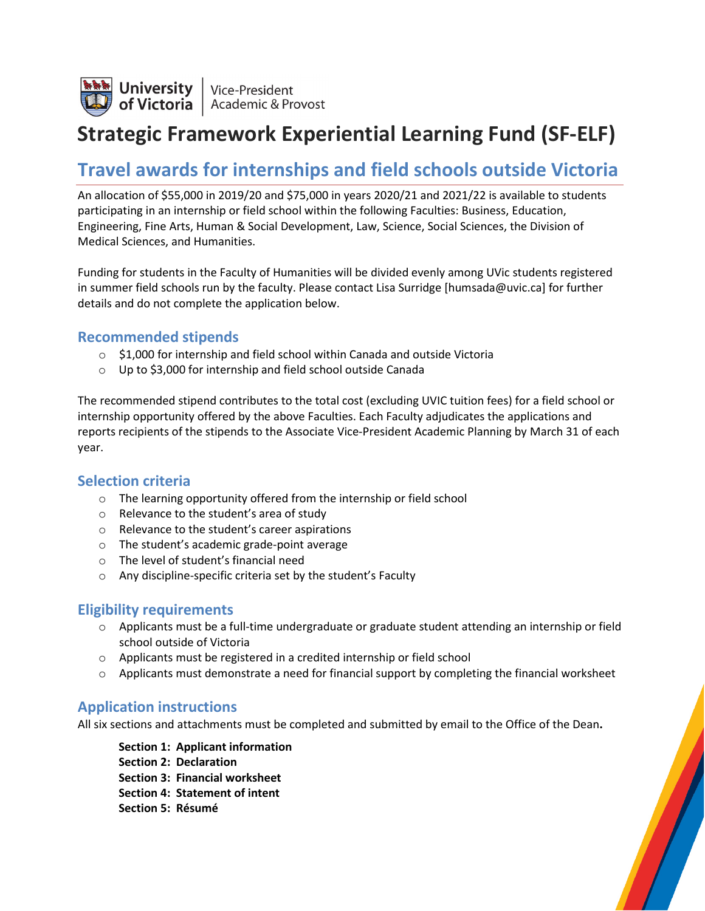

## **Strategic Framework Experiential Learning Fund (SF-ELF)**

## **Travel awards for internships and field schools outside Victoria**

An allocation of \$55,000 in 2019/20 and \$75,000 in years 2020/21 and 2021/22 is available to students participating in an internship or field school within the following Faculties: Business, Education, Engineering, Fine Arts, Human & Social Development, Law, Science, Social Sciences, the Division of Medical Sciences, and Humanities.

Funding for students in the Faculty of Humanities will be divided evenly among UVic students registered in summer field schools run by the faculty. Please contact Lisa Surridge [humsada@uvic.ca] for further details and do not complete the application below.

### **Recommended stipends**

- \$1,000 for internship and field school within Canada and outside Victoria
- o Up to \$3,000 for internship and field school outside Canada

The recommended stipend contributes to the total cost (excluding UVIC tuition fees) for a field school or internship opportunity offered by the above Faculties. Each Faculty adjudicates the applications and reports recipients of the stipends to the Associate Vice-President Academic Planning by March 31 of each year.

### **Selection criteria**

- o The learning opportunity offered from the internship or field school
- o Relevance to the student's area of study
- o Relevance to the student's career aspirations
- o The student's academic grade-point average
- o The level of student's financial need
- o Any discipline-specific criteria set by the student's Faculty

### **Eligibility requirements**

- $\circ$  Applicants must be a full-time undergraduate or graduate student attending an internship or field school outside of Victoria
- o Applicants must be registered in a credited internship or field school
- $\circ$  Applicants must demonstrate a need for financial support by completing the financial worksheet

### **Application instructions**

All six sections and attachments must be completed and submitted by email to the Office of the Dean**.**

**Section 1: Applicant information Section 2: Declaration Section 3: Financial worksheet Section 4: Statement of intent Section 5: Résumé**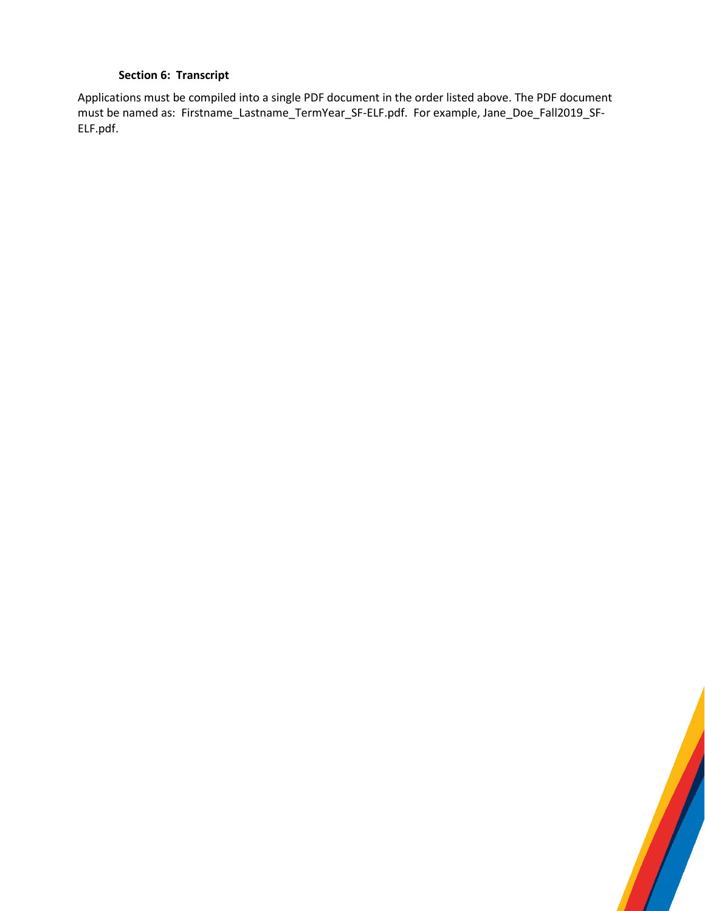### **Section 6: Transcript**

Applications must be compiled into a single PDF document in the order listed above. The PDF document must be named as: Firstname\_Lastname\_TermYear\_SF-ELF.pdf. For example, Jane\_Doe\_Fall2019\_SF-ELF.pdf.

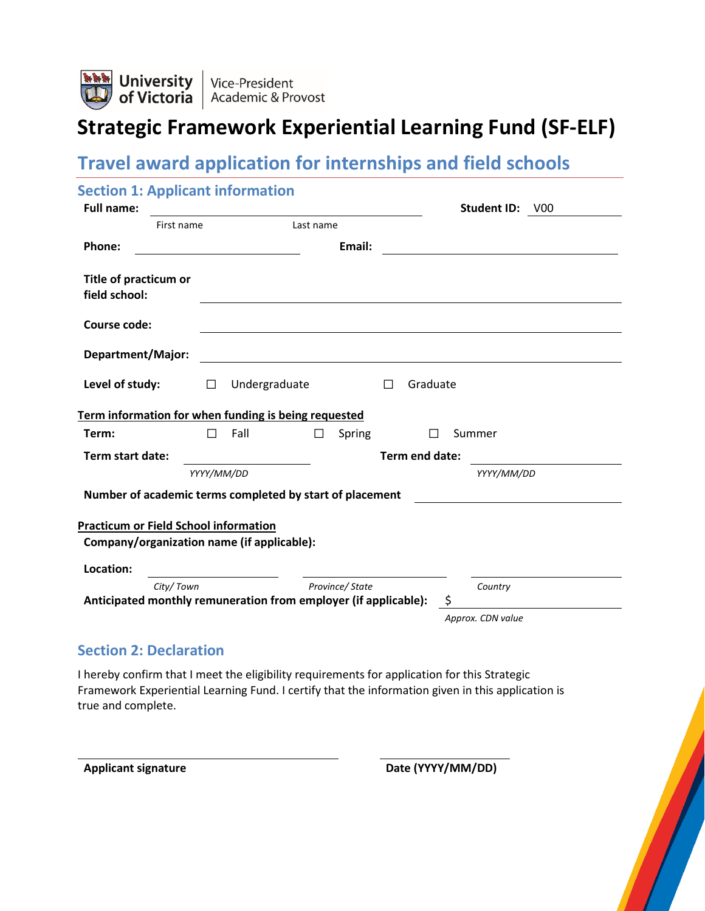

# **Strategic Framework Experiential Learning Fund (SF-ELF)**

## **Travel award application for internships and field schools**

| <b>Section 1: Applicant information</b><br><b>Full name:</b> |                                                   |                                                                 | Student ID: V00   |
|--------------------------------------------------------------|---------------------------------------------------|-----------------------------------------------------------------|-------------------|
| First name                                                   | <u> 1989 - Johann Barbara, martxa alemaniar a</u> | Last name                                                       |                   |
| Phone:                                                       |                                                   | Email:                                                          |                   |
| Title of practicum or<br>field school:                       |                                                   |                                                                 |                   |
| <b>Course code:</b>                                          |                                                   |                                                                 |                   |
| Department/Major:                                            |                                                   |                                                                 |                   |
| Level of study:                                              | Undergraduate<br>$\Box$                           | $\Box$<br>Graduate                                              |                   |
| Term information for when funding is being requested         |                                                   |                                                                 |                   |
| Term:                                                        | $\Box$<br>Fall                                    | $\Box$<br>Spring                                                | $\Box$<br>Summer  |
| Term start date:                                             |                                                   | Term end date:                                                  |                   |
|                                                              | YYYY/MM/DD                                        |                                                                 | YYYY/MM/DD        |
| Number of academic terms completed by start of placement     |                                                   |                                                                 |                   |
| <b>Practicum or Field School information</b>                 |                                                   |                                                                 |                   |
| Company/organization name (if applicable):                   |                                                   |                                                                 |                   |
| Location:                                                    |                                                   |                                                                 |                   |
| City/Town                                                    |                                                   | Province/State                                                  | Country           |
|                                                              |                                                   | Anticipated monthly remuneration from employer (if applicable): | \$                |
|                                                              |                                                   |                                                                 | Approx. CDN value |

### **Section 2: Declaration**

I hereby confirm that I meet the eligibility requirements for application for this Strategic Framework Experiential Learning Fund. I certify that the information given in this application is true and complete.

Applicant signature **Date (YYYY/MM/DD)**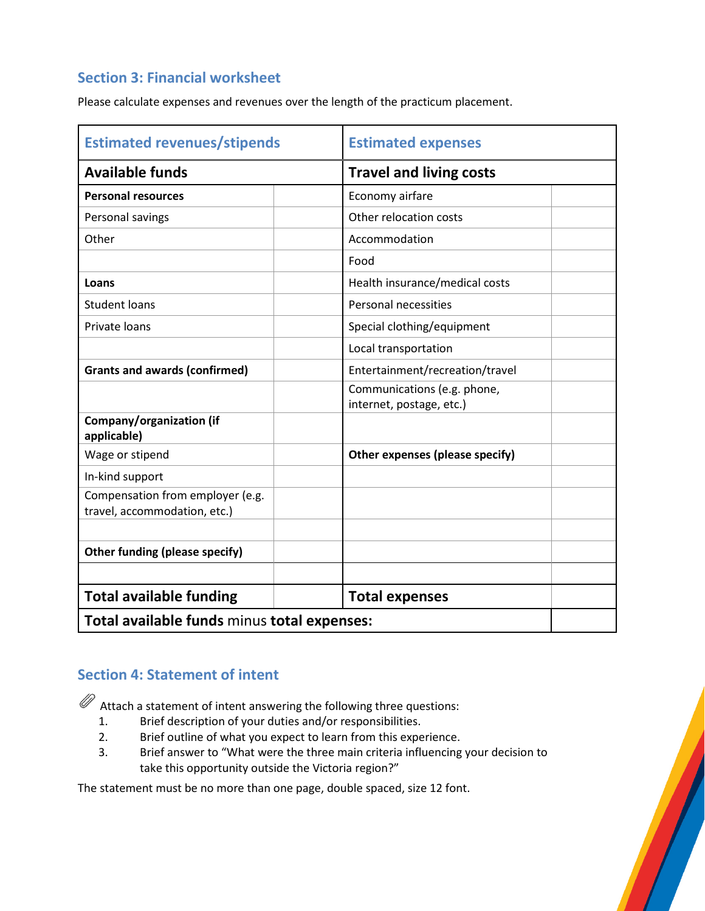## **Section 3: Financial worksheet**

Please calculate expenses and revenues over the length of the practicum placement.

| <b>Estimated revenues/stipends</b>                      | <b>Estimated expenses</b>                               |  |  |
|---------------------------------------------------------|---------------------------------------------------------|--|--|
| <b>Available funds</b>                                  | <b>Travel and living costs</b>                          |  |  |
| <b>Personal resources</b>                               | Economy airfare                                         |  |  |
| Personal savings                                        | Other relocation costs                                  |  |  |
| Other                                                   | Accommodation                                           |  |  |
|                                                         | Food                                                    |  |  |
| Loans                                                   | Health insurance/medical costs                          |  |  |
| <b>Student loans</b>                                    | Personal necessities                                    |  |  |
| Private loans                                           | Special clothing/equipment                              |  |  |
|                                                         | Local transportation                                    |  |  |
| <b>Grants and awards (confirmed)</b>                    | Entertainment/recreation/travel                         |  |  |
|                                                         | Communications (e.g. phone,<br>internet, postage, etc.) |  |  |
| Company/organization (if<br>applicable)                 |                                                         |  |  |
| Wage or stipend                                         | Other expenses (please specify)                         |  |  |
| In-kind support                                         |                                                         |  |  |
| Compensation from employer (e.g.                        |                                                         |  |  |
| travel, accommodation, etc.)                            |                                                         |  |  |
|                                                         |                                                         |  |  |
| <b>Other funding (please specify)</b>                   |                                                         |  |  |
|                                                         |                                                         |  |  |
| <b>Total available funding</b><br><b>Total expenses</b> |                                                         |  |  |
| Total available funds minus total expenses:             |                                                         |  |  |

## **Section 4: Statement of intent**

 $\mathscr{D}$  Attach a statement of intent answering the following three questions:

- 1. Brief description of your duties and/or responsibilities.
- 2. Brief outline of what you expect to learn from this experience.
- 3. Brief answer to "What were the three main criteria influencing your decision to take this opportunity outside the Victoria region?"

The statement must be no more than one page, double spaced, size 12 font.